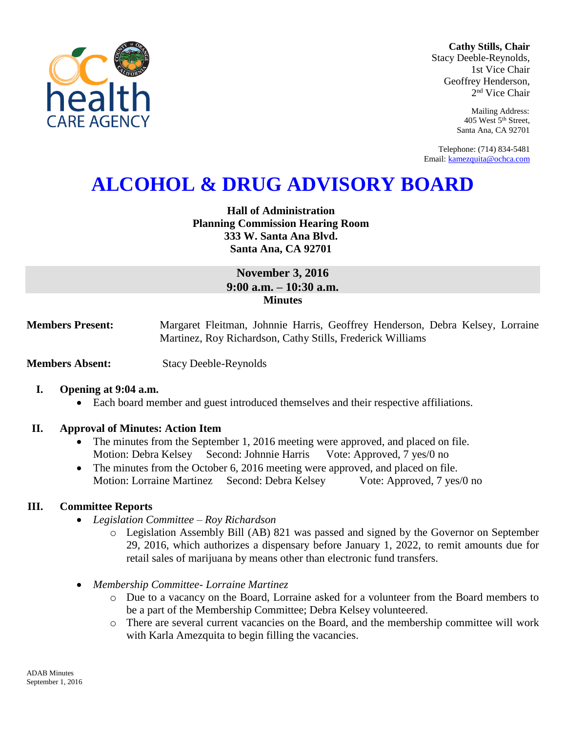

**Cathy Stills, Chair** Stacy Deeble-Reynolds, 1st Vice Chair Geoffrey Henderson, 2 nd Vice Chair

> Mailing Address: 405 West 5th Street, Santa Ana, CA 92701

Telephone: (714) 834-5481 Email: [kamezquita@ochca.com](mailto:kamezquita@ochca.com)

# **ALCOHOL & DRUG ADVISORY BOARD**

**Hall of Administration Planning Commission Hearing Room 333 W. Santa Ana Blvd. Santa Ana, CA 92701** 

## **November 3, 2016 9:00 a.m. – 10:30 a.m. Minutes**

**Members Present:** Margaret Fleitman, Johnnie Harris, Geoffrey Henderson, Debra Kelsey, Lorraine Martinez, Roy Richardson, Cathy Stills, Frederick Williams

**Members Absent:** Stacy Deeble-Reynolds

## **I. Opening at 9:04 a.m.**

Each board member and guest introduced themselves and their respective affiliations.

## **II. Approval of Minutes: Action Item**

- The minutes from the September 1, 2016 meeting were approved, and placed on file. Motion: Debra Kelsey Second: Johnnie Harris Vote: Approved, 7 yes/0 no
- The minutes from the October 6, 2016 meeting were approved, and placed on file. Motion: Lorraine Martinez Second: Debra Kelsey Vote: Approved, 7 yes/0 no

## **III. Committee Reports**

- *Legislation Committee – Roy Richardson*
	- o Legislation Assembly Bill (AB) 821 was passed and signed by the Governor on September 29, 2016, which authorizes a dispensary before January 1, 2022, to remit amounts due for retail sales of marijuana by means other than electronic fund transfers.
- *Membership Committee- Lorraine Martinez*
	- o Due to a vacancy on the Board, Lorraine asked for a volunteer from the Board members to be a part of the Membership Committee; Debra Kelsey volunteered.
	- o There are several current vacancies on the Board, and the membership committee will work with Karla Amezquita to begin filling the vacancies.

ADAB Minutes September 1, 2016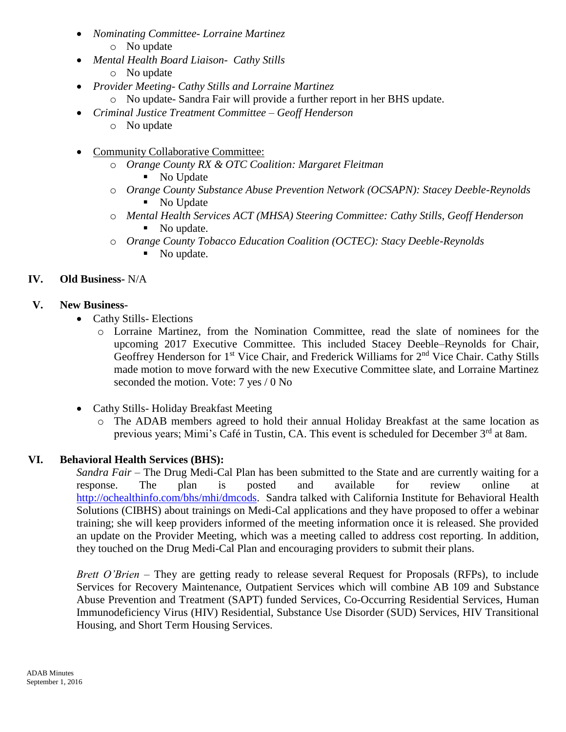- *Nominating Committee- Lorraine Martinez* o No update
- *Mental Health Board Liaison- Cathy Stills* o No update
- *Provider Meeting- Cathy Stills and Lorraine Martinez* o No update- Sandra Fair will provide a further report in her BHS update.
- *Criminal Justice Treatment Committee – Geoff Henderson*
	- o No update
- Community Collaborative Committee:
	- o *Orange County RX & OTC Coalition: Margaret Fleitman*
		- No Update
	- o *Orange County Substance Abuse Prevention Network (OCSAPN): Stacey Deeble-Reynolds* • No Update
	- o *Mental Health Services ACT (MHSA) Steering Committee: Cathy Stills, Geoff Henderson* No update.
	- o *Orange County Tobacco Education Coalition (OCTEC): Stacy Deeble-Reynolds* No update.

## **IV. Old Business-** N/A

## **V. New Business-**

- Cathy Stills- Elections
	- o Lorraine Martinez, from the Nomination Committee, read the slate of nominees for the upcoming 2017 Executive Committee. This included Stacey Deeble–Reynolds for Chair, Geoffrey Henderson for 1<sup>st</sup> Vice Chair, and Frederick Williams for 2<sup>nd</sup> Vice Chair. Cathy Stills made motion to move forward with the new Executive Committee slate, and Lorraine Martinez seconded the motion. Vote: 7 yes / 0 No
- Cathy Stills-Holiday Breakfast Meeting
	- o The ADAB members agreed to hold their annual Holiday Breakfast at the same location as previous years; Mimi's Café in Tustin, CA. This event is scheduled for December 3<sup>rd</sup> at 8am.

# **VI. Behavioral Health Services (BHS):**

*Sandra Fair* – The Drug Medi-Cal Plan has been submitted to the State and are currently waiting for a response. The plan is posted and available for review online at [http://ochealthinfo.com/bhs/mhi/dmcods.](http://ochealthinfo.com/bhs/mhi/dmcods) Sandra talked with California Institute for Behavioral Health Solutions (CIBHS) about trainings on Medi-Cal applications and they have proposed to offer a webinar training; she will keep providers informed of the meeting information once it is released. She provided an update on the Provider Meeting, which was a meeting called to address cost reporting. In addition, they touched on the Drug Medi-Cal Plan and encouraging providers to submit their plans.

*Brett O'Brien* – They are getting ready to release several Request for Proposals (RFPs), to include Services for Recovery Maintenance, Outpatient Services which will combine AB 109 and Substance Abuse Prevention and Treatment (SAPT) funded Services, Co-Occurring Residential Services, Human Immunodeficiency Virus (HIV) Residential, Substance Use Disorder (SUD) Services, HIV Transitional Housing, and Short Term Housing Services.